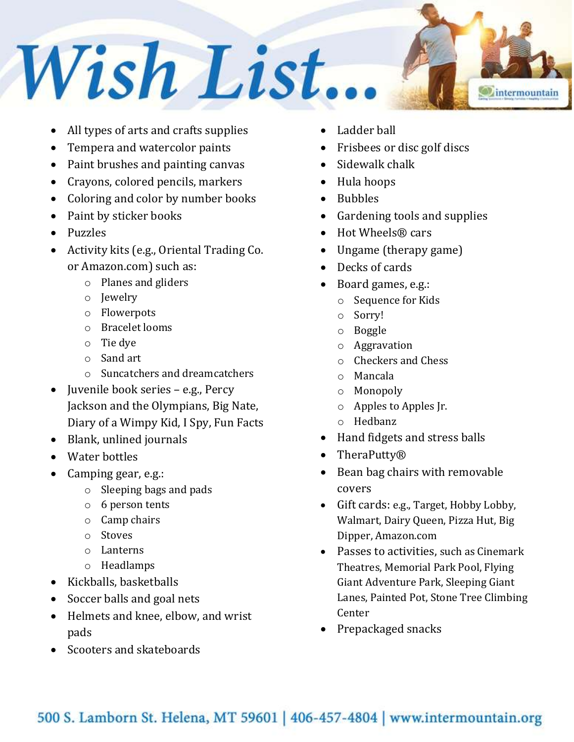## Wish List. *<u>Intermountain</u>*

- All types of arts and crafts supplies
- Tempera and watercolor paints
- Paint brushes and painting canvas
- Crayons, colored pencils, markers
- Coloring and color by number books
- Paint by sticker books
- Puzzles
- Activity kits (e.g., Oriental Trading Co. or Amazon.com) such as:
	- o Planes and gliders
	- o Jewelry
	- o Flowerpots
	- o Bracelet looms
	- o Tie dye
	- o Sand art
	- o Suncatchers and dreamcatchers
- Juvenile book series e.g., Percy Jackson and the Olympians, Big Nate, Diary of a Wimpy Kid, I Spy, Fun Facts
- Blank, unlined journals
- Water bottles
- Camping gear, e.g.:
	- o Sleeping bags and pads
	- o 6 person tents
	- o Camp chairs
	- o Stoves
	- o Lanterns
	- o Headlamps
- Kickballs, basketballs
- Soccer balls and goal nets
- Helmets and knee, elbow, and wrist pads
- Scooters and skateboards
- Ladder ball
- Frisbees or disc golf discs
- Sidewalk chalk
- Hula hoops
- Bubbles
- Gardening tools and supplies
- Hot Wheels® cars
- Ungame (therapy game)
- Decks of cards
- Board games, e.g.:
	- o Sequence for Kids
	- o Sorry!
	- o Boggle
	- o Aggravation
	- o Checkers and Chess
	- o Mancala
	- o Monopoly
	- o Apples to Apples Jr.
	- o Hedbanz
- Hand fidgets and stress balls
- TheraPutty®
- Bean bag chairs with removable covers
- Gift cards: e.g., Target, Hobby Lobby, Walmart, Dairy Queen, Pizza Hut, Big Dipper, Amazon.com
- Passes to activities, such as Cinemark Theatres, Memorial Park Pool, Flying Giant Adventure Park, Sleeping Giant Lanes, Painted Pot, Stone Tree Climbing Center
- Prepackaged snacks